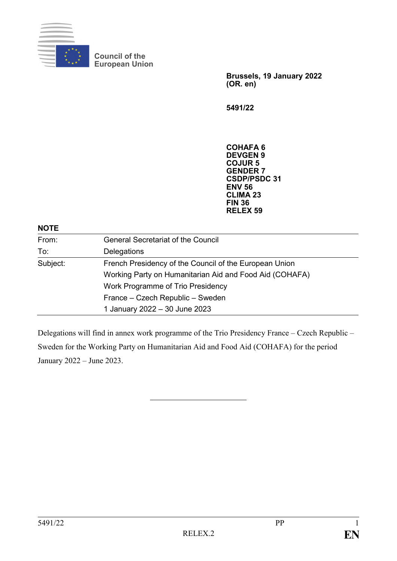

**Council of the European Union**

> **Brussels, 19 January 2022 (OR. en)**

**5491/22**

**COHAFA 6 DEVGEN 9 COJUR 5 GENDER 7 CSDP/PSDC 31 ENV 56 CLIMA 23 FIN 36 RELEX 59**

#### **NOTE**

| From:    | <b>General Secretariat of the Council</b>               |  |
|----------|---------------------------------------------------------|--|
| To:      | Delegations                                             |  |
| Subject: | French Presidency of the Council of the European Union  |  |
|          | Working Party on Humanitarian Aid and Food Aid (COHAFA) |  |
|          | Work Programme of Trio Presidency                       |  |
|          | France – Czech Republic – Sweden                        |  |
|          | 1 January 2022 - 30 June 2023                           |  |

Delegations will find in annex work programme of the Trio Presidency France – Czech Republic – Sweden for the Working Party on Humanitarian Aid and Food Aid (COHAFA) for the period January 2022 – June 2023.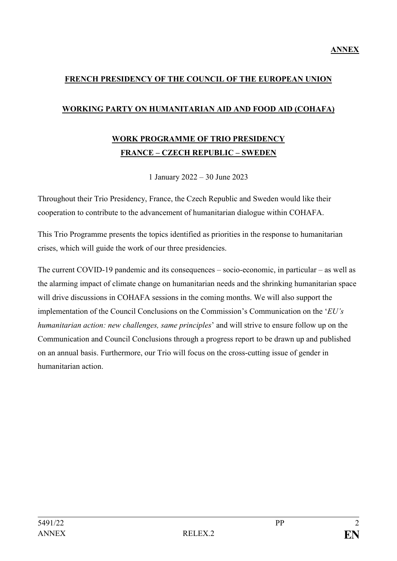#### **FRENCH PRESIDENCY OF THE COUNCIL OF THE EUROPEAN UNION**

#### **WORKING PARTY ON HUMANITARIAN AID AND FOOD AID (COHAFA)**

## **WORK PROGRAMME OF TRIO PRESIDENCY FRANCE – CZECH REPUBLIC – SWEDEN**

1 January 2022 – 30 June 2023

Throughout their Trio Presidency, France, the Czech Republic and Sweden would like their cooperation to contribute to the advancement of humanitarian dialogue within COHAFA.

This Trio Programme presents the topics identified as priorities in the response to humanitarian crises, which will guide the work of our three presidencies.

The current COVID-19 pandemic and its consequences – socio-economic, in particular – as well as the alarming impact of climate change on humanitarian needs and the shrinking humanitarian space will drive discussions in COHAFA sessions in the coming months. We will also support the implementation of the Council Conclusions on the Commission's Communication on the '*EU's humanitarian action: new challenges, same principles*' and will strive to ensure follow up on the Communication and Council Conclusions through a progress report to be drawn up and published on an annual basis. Furthermore, our Trio will focus on the cross-cutting issue of gender in humanitarian action.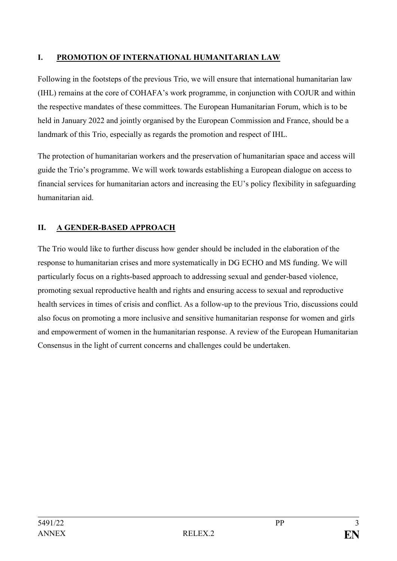#### **I. PROMOTION OF INTERNATIONAL HUMANITARIAN LAW**

Following in the footsteps of the previous Trio, we will ensure that international humanitarian law (IHL) remains at the core of COHAFA's work programme, in conjunction with COJUR and within the respective mandates of these committees. The European Humanitarian Forum, which is to be held in January 2022 and jointly organised by the European Commission and France, should be a landmark of this Trio, especially as regards the promotion and respect of IHL.

The protection of humanitarian workers and the preservation of humanitarian space and access will guide the Trio's programme. We will work towards establishing a European dialogue on access to financial services for humanitarian actors and increasing the EU's policy flexibility in safeguarding humanitarian aid.

### **II. A GENDER-BASED APPROACH**

The Trio would like to further discuss how gender should be included in the elaboration of the response to humanitarian crises and more systematically in DG ECHO and MS funding. We will particularly focus on a rights-based approach to addressing sexual and gender-based violence, promoting sexual reproductive health and rights and ensuring access to sexual and reproductive health services in times of crisis and conflict. As a follow-up to the previous Trio, discussions could also focus on promoting a more inclusive and sensitive humanitarian response for women and girls and empowerment of women in the humanitarian response. A review of the European Humanitarian Consensus in the light of current concerns and challenges could be undertaken.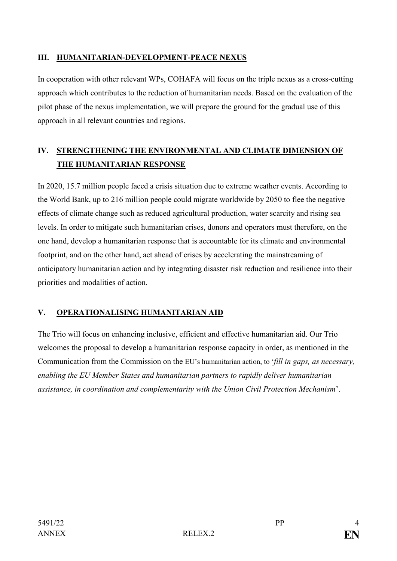#### **III. HUMANITARIAN-DEVELOPMENT-PEACE NEXUS**

In cooperation with other relevant WPs, COHAFA will focus on the triple nexus as a cross-cutting approach which contributes to the reduction of humanitarian needs. Based on the evaluation of the pilot phase of the nexus implementation, we will prepare the ground for the gradual use of this approach in all relevant countries and regions.

## **IV. STRENGTHENING THE ENVIRONMENTAL AND CLIMATE DIMENSION OF THE HUMANITARIAN RESPONSE**

In 2020, 15.7 million people faced a crisis situation due to extreme weather events. According to the World Bank, up to 216 million people could migrate worldwide by 2050 to flee the negative effects of climate change such as reduced agricultural production, water scarcity and rising sea levels. In order to mitigate such humanitarian crises, donors and operators must therefore, on the one hand, develop a humanitarian response that is accountable for its climate and environmental footprint, and on the other hand, act ahead of crises by accelerating the mainstreaming of anticipatory humanitarian action and by integrating disaster risk reduction and resilience into their priorities and modalities of action.

### **V. OPERATIONALISING HUMANITARIAN AID**

The Trio will focus on enhancing inclusive, efficient and effective humanitarian aid. Our Trio welcomes the proposal to develop a humanitarian response capacity in order, as mentioned in the Communication from the Commission on the EU's humanitarian action, to '*fill in gaps, as necessary, enabling the EU Member States and humanitarian partners to rapidly deliver humanitarian assistance, in coordination and complementarity with the Union Civil Protection Mechanism*'.